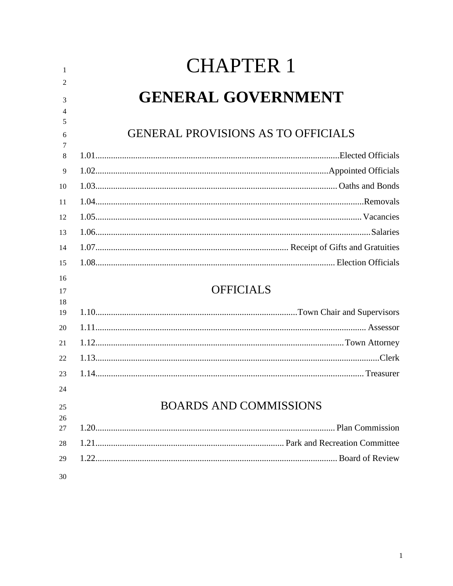| -1                  | <b>CHAPTER 1</b>                          |
|---------------------|-------------------------------------------|
| 2                   |                                           |
| 3                   | <b>GENERAL GOVERNMENT</b>                 |
| $\overline{4}$<br>5 |                                           |
| 6                   | <b>GENERAL PROVISIONS AS TO OFFICIALS</b> |
| 7<br>8              |                                           |
| 9                   |                                           |
| 10                  |                                           |
|                     |                                           |
| 11                  |                                           |
| 12                  |                                           |
| 13                  |                                           |
| 14                  |                                           |
| 15                  |                                           |
| 16                  | <b>OFFICIALS</b>                          |
| 17<br>18            |                                           |
| 19                  |                                           |
| 20                  |                                           |
| 21                  |                                           |
| 22                  |                                           |
| 23                  |                                           |
| 24                  |                                           |
| 25<br>26            | <b>BOARDS AND COMMISSIONS</b>             |
| 27                  |                                           |
| 28                  |                                           |
| 29                  |                                           |
| 30                  |                                           |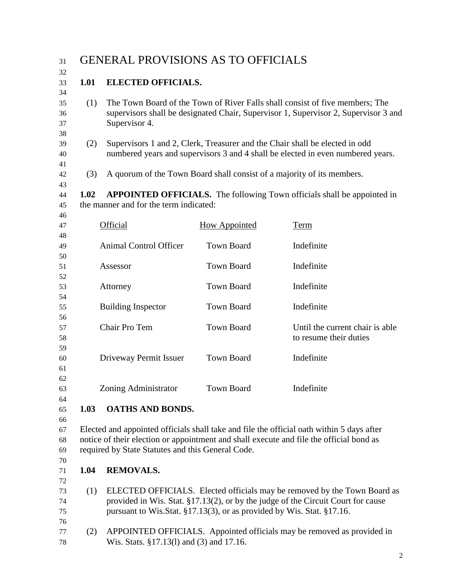31 GENERAL PROVISIONS AS TO OFFICIALS **1.01 ELECTED OFFICIALS.** (1) The Town Board of the Town of River Falls shall consist of five members; The supervisors shall be designated Chair, Supervisor 1, Supervisor 2, Supervisor 3 and Supervisor 4. (2) Supervisors 1 and 2, Clerk, Treasurer and the Chair shall be elected in odd numbered years and supervisors 3 and 4 shall be elected in even numbered years. (3) A quorum of the Town Board shall consist of a majority of its members. **1.02 APPOINTED OFFICIALS.** The following Town officials shall be appointed in the manner and for the term indicated: Official How Appointed Term Animal Control Officer Town Board Indefinite Assessor Town Board Indefinite Attorney Town Board Indefinite Building Inspector Town Board Indefinite Chair Pro Tem Town Board Until the current chair is able to resume their duties Driveway Permit Issuer Town Board Indefinite Zoning Administrator Town Board Indefinite **1.03 OATHS AND BONDS.** Elected and appointed officials shall take and file the official oath within 5 days after notice of their election or appointment and shall execute and file the official bond as required by State Statutes and this General Code. **1.04 REMOVALS.** (1) ELECTED OFFICIALS. Elected officials may be removed by the Town Board as provided in Wis. Stat. §17.13(2), or by the judge of the Circuit Court for cause pursuant to Wis.Stat. §17.13(3), or as provided by Wis. Stat. §17.16.

 (2) APPOINTED OFFICIALS. Appointed officials may be removed as provided in Wis. Stats. §17.13(l) and (3) and 17.16.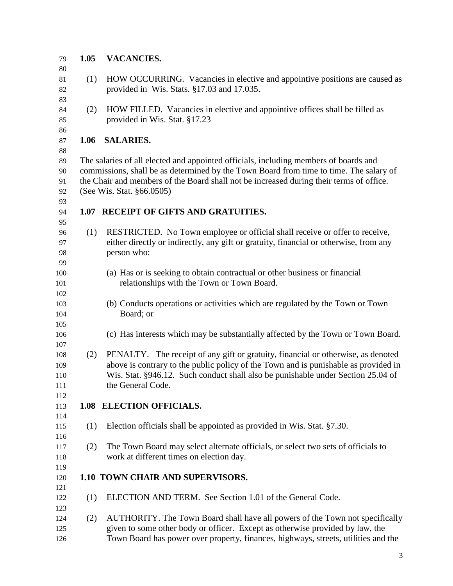| 79  | 1.05 | <b>VACANCIES.</b>                                                                       |
|-----|------|-----------------------------------------------------------------------------------------|
| 80  |      |                                                                                         |
| 81  | (1)  | HOW OCCURRING. Vacancies in elective and appointive positions are caused as             |
| 82  |      | provided in Wis. Stats. §17.03 and 17.035.                                              |
| 83  |      |                                                                                         |
| 84  | (2)  | HOW FILLED. Vacancies in elective and appointive offices shall be filled as             |
|     |      |                                                                                         |
| 85  |      | provided in Wis. Stat. §17.23                                                           |
| 86  |      |                                                                                         |
| 87  | 1.06 | <b>SALARIES.</b>                                                                        |
| 88  |      |                                                                                         |
| 89  |      | The salaries of all elected and appointed officials, including members of boards and    |
| 90  |      | commissions, shall be as determined by the Town Board from time to time. The salary of  |
| 91  |      | the Chair and members of the Board shall not be increased during their terms of office. |
| 92  |      | (See Wis. Stat. §66.0505)                                                               |
| 93  |      |                                                                                         |
| 94  |      | 1.07 RECEIPT OF GIFTS AND GRATUITIES.                                                   |
| 95  |      |                                                                                         |
| 96  | (1)  | RESTRICTED. No Town employee or official shall receive or offer to receive,             |
| 97  |      | either directly or indirectly, any gift or gratuity, financial or otherwise, from any   |
| 98  |      | person who:                                                                             |
| 99  |      |                                                                                         |
| 100 |      | (a) Has or is seeking to obtain contractual or other business or financial              |
| 101 |      | relationships with the Town or Town Board.                                              |
| 102 |      |                                                                                         |
| 103 |      | (b) Conducts operations or activities which are regulated by the Town or Town           |
| 104 |      | Board; or                                                                               |
| 105 |      |                                                                                         |
| 106 |      | (c) Has interests which may be substantially affected by the Town or Town Board.        |
| 107 |      |                                                                                         |
| 108 | (2)  | PENALTY. The receipt of any gift or gratuity, financial or otherwise, as denoted        |
| 109 |      | above is contrary to the public policy of the Town and is punishable as provided in     |
| 110 |      | Wis. Stat. §946.12. Such conduct shall also be punishable under Section 25.04 of        |
| 111 |      | the General Code.                                                                       |
| 112 |      |                                                                                         |
| 113 |      | 1.08 ELECTION OFFICIALS.                                                                |
| 114 |      |                                                                                         |
| 115 | (1)  | Election officials shall be appointed as provided in Wis. Stat. §7.30.                  |
|     |      |                                                                                         |
| 116 |      |                                                                                         |
| 117 | (2)  | The Town Board may select alternate officials, or select two sets of officials to       |
| 118 |      | work at different times on election day.                                                |
| 119 |      |                                                                                         |
| 120 |      | 1.10 TOWN CHAIR AND SUPERVISORS.                                                        |
| 121 |      |                                                                                         |
| 122 | (1)  | ELECTION AND TERM. See Section 1.01 of the General Code.                                |
| 123 |      |                                                                                         |
| 124 | (2)  | AUTHORITY. The Town Board shall have all powers of the Town not specifically            |
| 125 |      | given to some other body or officer. Except as otherwise provided by law, the           |
| 126 |      | Town Board has power over property, finances, highways, streets, utilities and the      |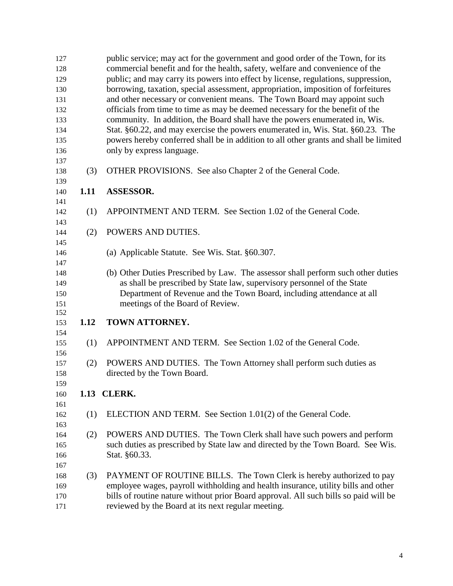| 127 |      | public service; may act for the government and good order of the Town, for its        |
|-----|------|---------------------------------------------------------------------------------------|
| 128 |      | commercial benefit and for the health, safety, welfare and convenience of the         |
| 129 |      | public; and may carry its powers into effect by license, regulations, suppression,    |
| 130 |      | borrowing, taxation, special assessment, appropriation, imposition of forfeitures     |
| 131 |      | and other necessary or convenient means. The Town Board may appoint such              |
| 132 |      | officials from time to time as may be deemed necessary for the benefit of the         |
| 133 |      | community. In addition, the Board shall have the powers enumerated in, Wis.           |
| 134 |      | Stat. §60.22, and may exercise the powers enumerated in, Wis. Stat. §60.23. The       |
| 135 |      | powers hereby conferred shall be in addition to all other grants and shall be limited |
| 136 |      | only by express language.                                                             |
| 137 |      |                                                                                       |
| 138 | (3)  | OTHER PROVISIONS. See also Chapter 2 of the General Code.                             |
| 139 |      |                                                                                       |
| 140 | 1.11 | <b>ASSESSOR.</b>                                                                      |
| 141 |      |                                                                                       |
| 142 | (1)  | APPOINTMENT AND TERM. See Section 1.02 of the General Code.                           |
| 143 |      |                                                                                       |
| 144 | (2)  | POWERS AND DUTIES.                                                                    |
| 145 |      |                                                                                       |
| 146 |      | (a) Applicable Statute. See Wis. Stat. §60.307.                                       |
| 147 |      |                                                                                       |
| 148 |      | (b) Other Duties Prescribed by Law. The assessor shall perform such other duties      |
| 149 |      | as shall be prescribed by State law, supervisory personnel of the State               |
| 150 |      | Department of Revenue and the Town Board, including attendance at all                 |
| 151 |      | meetings of the Board of Review.                                                      |
| 152 |      |                                                                                       |
| 153 | 1.12 | TOWN ATTORNEY.                                                                        |
| 154 |      |                                                                                       |
| 155 | (1)  | APPOINTMENT AND TERM. See Section 1.02 of the General Code.                           |
| 156 |      |                                                                                       |
| 157 | (2)  | POWERS AND DUTIES. The Town Attorney shall perform such duties as                     |
| 158 |      | directed by the Town Board.                                                           |
| 159 |      |                                                                                       |
| 160 |      | 1.13 CLERK.                                                                           |
| 161 |      |                                                                                       |
| 162 | (1)  | ELECTION AND TERM. See Section 1.01(2) of the General Code.                           |
| 163 |      |                                                                                       |
| 164 | (2)  | POWERS AND DUTIES. The Town Clerk shall have such powers and perform                  |
| 165 |      | such duties as prescribed by State law and directed by the Town Board. See Wis.       |
| 166 |      | Stat. §60.33.                                                                         |
| 167 |      |                                                                                       |
| 168 | (3)  | PAYMENT OF ROUTINE BILLS. The Town Clerk is hereby authorized to pay                  |
| 169 |      | employee wages, payroll withholding and health insurance, utility bills and other     |
| 170 |      | bills of routine nature without prior Board approval. All such bills so paid will be  |
| 171 |      | reviewed by the Board at its next regular meeting.                                    |
|     |      |                                                                                       |
|     |      |                                                                                       |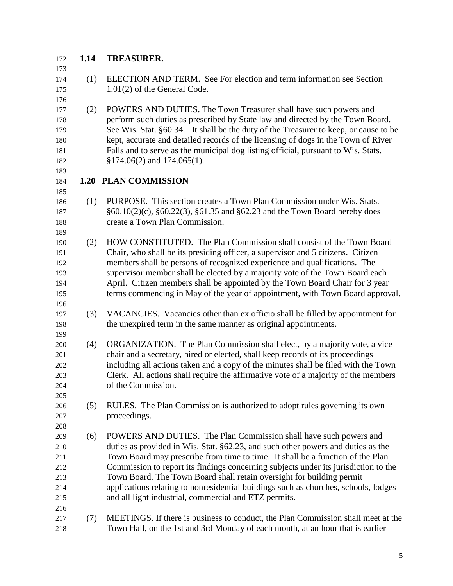## **1.14 TREASURER.**

| 173 |     |                                                                                      |
|-----|-----|--------------------------------------------------------------------------------------|
| 174 | (1) | ELECTION AND TERM. See For election and term information see Section                 |
| 175 |     | $1.01(2)$ of the General Code.                                                       |
| 176 |     |                                                                                      |
| 177 | (2) | POWERS AND DUTIES. The Town Treasurer shall have such powers and                     |
| 178 |     | perform such duties as prescribed by State law and directed by the Town Board.       |
| 179 |     | See Wis. Stat. §60.34. It shall be the duty of the Treasurer to keep, or cause to be |
| 180 |     | kept, accurate and detailed records of the licensing of dogs in the Town of River    |
| 181 |     | Falls and to serve as the municipal dog listing official, pursuant to Wis. Stats.    |
| 182 |     | $$174.06(2)$ and $174.065(1)$ .                                                      |
| 183 |     |                                                                                      |
| 184 |     | <b>1.20 PLAN COMMISSION</b>                                                          |
| 185 |     |                                                                                      |
| 186 | (1) | PURPOSE. This section creates a Town Plan Commission under Wis. Stats.               |
| 187 |     | $§60.10(2)(c)$ , $§60.22(3)$ , $§61.35$ and $§62.23$ and the Town Board hereby does  |
| 188 |     | create a Town Plan Commission.                                                       |
| 189 |     |                                                                                      |
| 190 | (2) | HOW CONSTITUTED. The Plan Commission shall consist of the Town Board                 |
| 191 |     | Chair, who shall be its presiding officer, a supervisor and 5 citizens. Citizen      |
| 192 |     | members shall be persons of recognized experience and qualifications. The            |
| 193 |     | supervisor member shall be elected by a majority vote of the Town Board each         |
| 194 |     | April. Citizen members shall be appointed by the Town Board Chair for 3 year         |
| 195 |     | terms commencing in May of the year of appointment, with Town Board approval.        |
| 196 |     |                                                                                      |
| 197 | (3) | VACANCIES. Vacancies other than ex officio shall be filled by appointment for        |
| 198 |     | the unexpired term in the same manner as original appointments.                      |
| 199 |     |                                                                                      |
| 200 | (4) | ORGANIZATION. The Plan Commission shall elect, by a majority vote, a vice            |
| 201 |     | chair and a secretary, hired or elected, shall keep records of its proceedings       |
| 202 |     | including all actions taken and a copy of the minutes shall be filed with the Town   |
| 203 |     | Clerk. All actions shall require the affirmative vote of a majority of the members   |
| 204 |     | of the Commission.                                                                   |
| 205 |     |                                                                                      |
| 206 | (5) | RULES. The Plan Commission is authorized to adopt rules governing its own            |
| 207 |     | proceedings.                                                                         |
| 208 |     |                                                                                      |
| 209 | (6) | POWERS AND DUTIES. The Plan Commission shall have such powers and                    |
| 210 |     | duties as provided in Wis. Stat. §62.23, and such other powers and duties as the     |
| 211 |     | Town Board may prescribe from time to time. It shall be a function of the Plan       |
| 212 |     | Commission to report its findings concerning subjects under its jurisdiction to the  |
| 213 |     | Town Board. The Town Board shall retain oversight for building permit                |
| 214 |     | applications relating to nonresidential buildings such as churches, schools, lodges  |
| 215 |     | and all light industrial, commercial and ETZ permits.                                |
| 216 |     |                                                                                      |
| 217 | (7) | MEETINGS. If there is business to conduct, the Plan Commission shall meet at the     |
| 218 |     | Town Hall, on the 1st and 3rd Monday of each month, at an hour that is earlier       |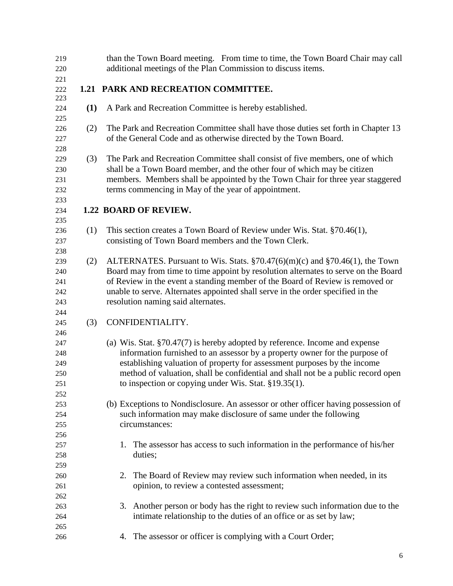| 219<br>220 |     | than the Town Board meeting. From time to time, the Town Board Chair may call<br>additional meetings of the Plan Commission to discuss items. |
|------------|-----|-----------------------------------------------------------------------------------------------------------------------------------------------|
| 221        |     |                                                                                                                                               |
| 222        |     | 1.21 PARK AND RECREATION COMMITTEE.                                                                                                           |
| 223        |     |                                                                                                                                               |
| 224        | (1) | A Park and Recreation Committee is hereby established.                                                                                        |
| 225<br>226 | (2) | The Park and Recreation Committee shall have those duties set forth in Chapter 13                                                             |
| 227        |     | of the General Code and as otherwise directed by the Town Board.                                                                              |
| 228        |     |                                                                                                                                               |
| 229        | (3) | The Park and Recreation Committee shall consist of five members, one of which                                                                 |
| 230        |     | shall be a Town Board member, and the other four of which may be citizen                                                                      |
| 231        |     | members. Members shall be appointed by the Town Chair for three year staggered                                                                |
| 232        |     | terms commencing in May of the year of appointment.                                                                                           |
| 233        |     |                                                                                                                                               |
| 234        |     | 1.22 BOARD OF REVIEW.                                                                                                                         |
| 235        |     |                                                                                                                                               |
| 236        | (1) | This section creates a Town Board of Review under Wis. Stat. §70.46(1),                                                                       |
| 237        |     | consisting of Town Board members and the Town Clerk.                                                                                          |
| 238        |     |                                                                                                                                               |
| 239        | (2) | ALTERNATES. Pursuant to Wis. Stats. $\S70.47(6)(m)(c)$ and $\S70.46(1)$ , the Town                                                            |
| 240        |     | Board may from time to time appoint by resolution alternates to serve on the Board                                                            |
| 241        |     | of Review in the event a standing member of the Board of Review is removed or                                                                 |
| 242        |     | unable to serve. Alternates appointed shall serve in the order specified in the                                                               |
| 243        |     | resolution naming said alternates.                                                                                                            |
| 244<br>245 | (3) | CONFIDENTIALITY.                                                                                                                              |
| 246        |     |                                                                                                                                               |
| 247        |     | (a) Wis. Stat. $\S 70.47(7)$ is hereby adopted by reference. Income and expense                                                               |
| 248        |     | information furnished to an assessor by a property owner for the purpose of                                                                   |
| 249        |     | establishing valuation of property for assessment purposes by the income                                                                      |
| 250        |     | method of valuation, shall be confidential and shall not be a public record open                                                              |
| 251        |     | to inspection or copying under Wis. Stat. §19.35(1).                                                                                          |
| 252        |     |                                                                                                                                               |
| 253        |     | (b) Exceptions to Nondisclosure. An assessor or other officer having possession of                                                            |
| 254        |     | such information may make disclosure of same under the following                                                                              |
| 255        |     | circumstances:                                                                                                                                |
| 256        |     |                                                                                                                                               |
| 257        |     | 1. The assessor has access to such information in the performance of his/her                                                                  |
| 258        |     | duties;                                                                                                                                       |
| 259        |     |                                                                                                                                               |
| 260        |     | 2. The Board of Review may review such information when needed, in its                                                                        |
| 261        |     | opinion, to review a contested assessment;                                                                                                    |
| 262<br>263 |     | 3. Another person or body has the right to review such information due to the                                                                 |
| 264        |     | intimate relationship to the duties of an office or as set by law;                                                                            |
| 265        |     |                                                                                                                                               |
| 266        |     | The assessor or officer is complying with a Court Order;<br>4.                                                                                |
|            |     |                                                                                                                                               |